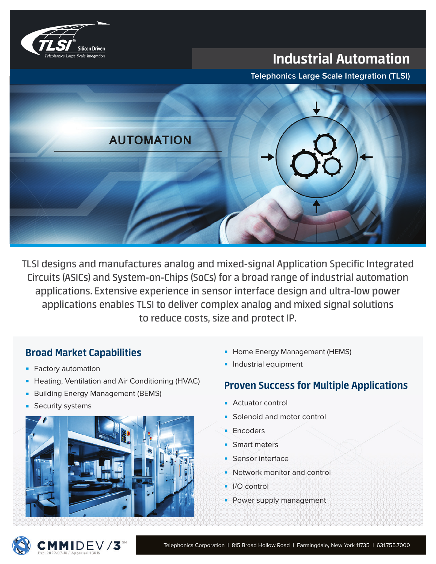

# Industrial Automation

**Telephonics Large Scale Integration (TLSI)**



TLSI designs and manufactures analog and mixed-signal Application Specific Integrated Circuits (ASICs) and System-on-Chips (SoCs) for a broad range of industrial automation applications. Extensive experience in sensor interface design and ultra-low power applications enables TLSI to deliver complex analog and mixed signal solutions to reduce costs, size and protect IP.

### Broad Market Capabilities

- **Factory automation**
- **Heating, Ventilation and Air Conditioning (HVAC)**
- **Building Energy Management (BEMS)**
- Security systems



- **-** Home Energy Management (HEMS)
- **Industrial equipment**

### Proven Success for Multiple Applications

- Actuator control
- Solenoid and motor control
- Encoders
- Smart meters
- Sensor interface
- Network monitor and control
- I/O control
- Power supply management